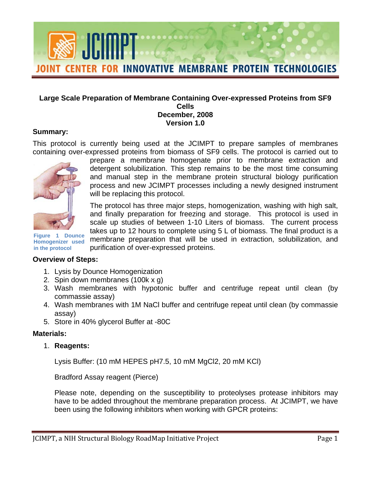

#### **Large Scale Preparation of Membrane Containing Over-expressed Proteins from SF9 Cells December, 2008 Version 1.0**

### **Summary:**

This protocol is currently being used at the JCIMPT to prepare samples of membranes containing over-expressed proteins from biomass of SF9 cells. The protocol is carried out to



prepare a membrane homogenate prior to membrane extraction and detergent solubilization. This step remains to be the most time consuming and manual step in the membrane protein structural biology purification process and new JCIMPT processes including a newly designed instrument will be replacing this protocol.

The protocol has three major steps, homogenization, washing with high salt, and finally preparation for freezing and storage. This protocol is used in scale up studies of between 1-10 Liters of biomass. The current process takes up to 12 hours to complete using 5 L of biomass. The final product is a membrane preparation that will be used in extraction, solubilization, and purification of over-expressed proteins.

**Figure 1 Dounce Homogenizer used in the protocol** 

### **Overview of Steps:**

- 1. Lysis by Dounce Homogenization
- 2. Spin down membranes (100k x g)
- 3. Wash membranes with hypotonic buffer and centrifuge repeat until clean (by commassie assay)
- 4. Wash membranes with 1M NaCl buffer and centrifuge repeat until clean (by commassie assay)
- 5. Store in 40% glycerol Buffer at -80C

### **Materials:**

1. **Reagents:** 

Lysis Buffer: (10 mM HEPES pH7.5, 10 mM MgCl2, 20 mM KCl)

Bradford Assay reagent (Pierce)

Please note, depending on the susceptibility to proteolyses protease inhibitors may have to be added throughout the membrane preparation process. At JCIMPT, we have been using the following inhibitors when working with GPCR proteins: